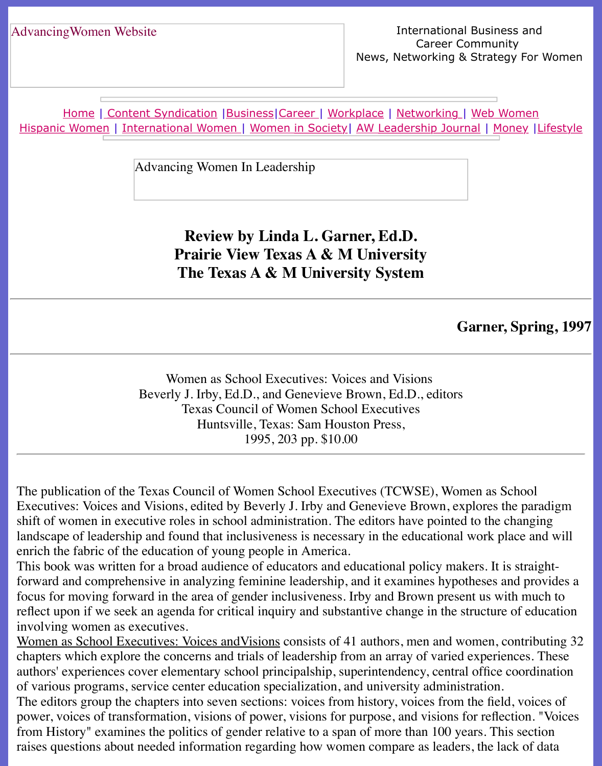Home | Content Syndication | Business | Career | Workplace | Networking | Web Wo Hispanic Women | International Women | Women in Society | AW Leadership Journal | Mon

Advancing Women In Leadership

## **[Review](file:///international.html) [by Linda L. Gar](file:///Users/nrahman/Desktop/Flash2/womsoc/index.html)[ner, Ed.D.](file:///awl/awl.html) Prairie View Texas A & M University The Texas A & M University System**

## Garner,

Women as School Executives: Voices and Visions Beverly J. Irby, Ed.D., and Genevieve Brown, Ed.D., editors Texas Council of Women School Executives Huntsville, Texas: Sam Houston Press, 1995, 203 pp. \$10.00

The publication of the Texas Council of Women School Executives (TCWSE), Women as Sc Executives: Voices and Visions, edited by Beverly J. Irby and Genevieve Brown, explores the shift of women in executive roles in school administration. The editors have pointed to the changing landscape of leadership and found that inclusiveness is necessary in the educational work pla enrich the fabric of the education of young people in America.

This book was written for a broad audience of educators and educational policy makers. It is forward and comprehensive in analyzing feminine leadership, and it examines hypotheses and focus for moving forward in the area of gender inclusiveness. Irby and Brown present us with  $\frac{1}{100}$ reflect upon if we seek an agenda for critical inquiry and substantive change in the structure involving women as executives.

Women as School Executives: Voices and Visions consists of 41 authors, men and women, contribution chapters which explore the concerns and trials of leadership from an array of varied experiences. authors' experiences cover elementary school principalship, superintendency, central office c of various programs, service center education specialization, and university administration. The editors group the chapters into seven sections: voices from history, voices from the field power, voices of transformation, visions of power, visions for purpose, and visions for reflection. from History" examines the politics of gender relative to a span of more than 100 years. This raises questions about needed information regarding how women compare as leaders, the lack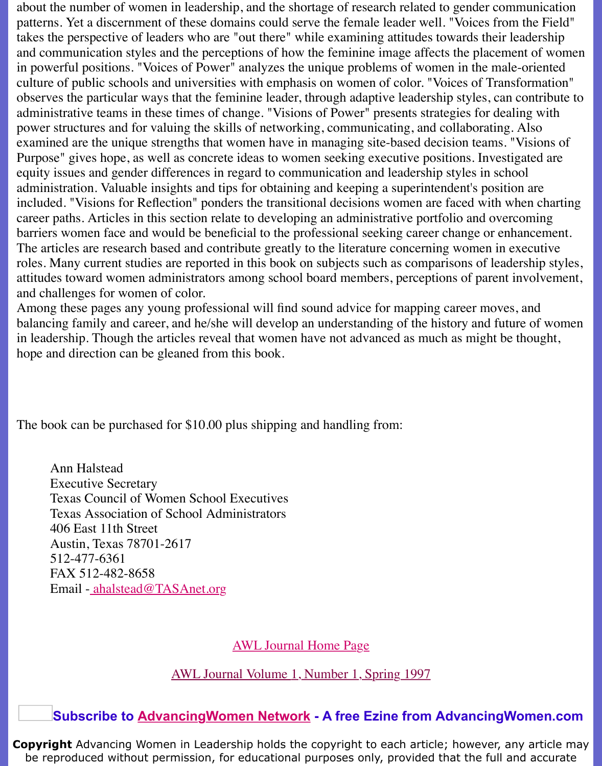observes the particular ways that the feminine leader, through adaptive leadership styles, can contribute to administrative teams in these times of change. "Visions of Power" presents strategies for dea power structures and for valuing the skills of networking, communicating, and collaborating examined are the unique strengths that women have in managing site-based decision teams. Purpose" gives hope, as well as concrete ideas to women seeking executive positions. Invest equity issues and gender differences in regard to communication and leadership styles in sch administration. Valuable insights and tips for obtaining and keeping a superintendent's position included. "Visions for Reflection" ponders the transitional decisions women are faced with w career paths. Articles in this section relate to developing an administrative portfolio and over barriers women face and would be beneficial to the professional seeking career change or en The articles are research based and contribute greatly to the literature concerning women in  $\alpha$ roles. Many current studies are reported in this book on subjects such as comparisons of lead attitudes toward women administrators among school board members, perceptions of parent and challenges for women of color.

Among these pages any young professional will find sound advice for mapping career moves balancing family and career, and he/she will develop an understanding of the history and future of women in leadership. Though the articles reveal that women have not advanced as much as might be hope and direction can be gleaned from this book.

The book can be purchased for \$10.00 plus shipping and handling from:

Ann Halstead Executive Secretary Texas Council of Women School Executives Texas Association of School Administrators 406 East 11th Street Austin, Texas 78701-2617 512-477-6361 FAX 512-482-8658 Email - ahalstead@TASAnet.org

AWL Journal Home Page

AWL Journal Volume 1, Number 1, Spring 1997

**Subscribe to AdvancingWomen Network - A free Ezine from AdvancingV** 

**Copyright** Advancing Women in Leader[ship holds the copyright t](file:///Users/nrahman/Desktop/Flash2/AWL%20Aug3/awl.html)o each article; however, a be reproduced without permission, for educational purposes only, provided that the full a